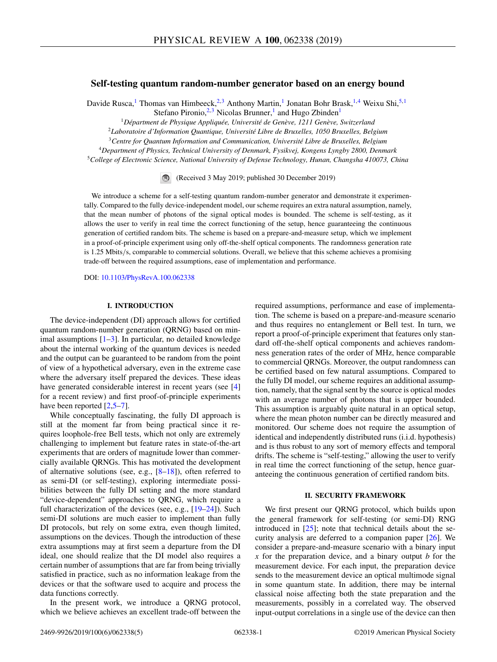# **Self-testing quantum random-number generator based on an energy bound**

Davide Rusca,<sup>1</sup> Thomas van Himbeeck,<sup>2,3</sup> Anthony Martin,<sup>1</sup> Jonatan Bohr Brask,<sup>1,4</sup> Weixu Shi,<sup>5,1</sup> Stefano Pironio,<sup>2,3</sup> Nicolas Brunner,<sup>1</sup> and Hugo Zbinden<sup>1</sup>

<sup>1</sup>*Départment de Physique Appliquée, Université de Genève, 1211 Genève, Switzerland*

<sup>2</sup>*Laboratoire d'Information Quantique, Université Libre de Bruxelles, 1050 Bruxelles, Belgium*

<sup>3</sup>*Centre for Quantum Information and Communication, Université Libre de Bruxelles, Belgium*

<sup>4</sup>*Department of Physics, Technical University of Denmark, Fysikvej, Kongens Lyngby 2800, Denmark*

<sup>5</sup>*College of Electronic Science, National University of Defense Technology, Hunan, Changsha 410073, China*

(Received 3 May 2019; published 30 December 2019)

We introduce a scheme for a self-testing quantum random-number generator and demonstrate it experimentally. Compared to the fully device-independent model, our scheme requires an extra natural assumption, namely, that the mean number of photons of the signal optical modes is bounded. The scheme is self-testing, as it allows the user to verify in real time the correct functioning of the setup, hence guaranteeing the continuous generation of certified random bits. The scheme is based on a prepare-and-measure setup, which we implement in a proof-of-principle experiment using only off-the-shelf optical components. The randomness generation rate is 1.25 Mbits/s, comparable to commercial solutions. Overall, we believe that this scheme achieves a promising trade-off between the required assumptions, ease of implementation and performance.

DOI: [10.1103/PhysRevA.100.062338](https://doi.org/10.1103/PhysRevA.100.062338)

### **I. INTRODUCTION**

The device-independent (DI) approach allows for certified quantum random-number generation (QRNG) based on minimal assumptions  $[1-3]$  $[1-3]$ . In particular, no detailed knowledge about the internal working of the quantum devices is needed and the output can be guaranteed to be random from the point of view of a hypothetical adversary, even in the extreme case where the adversary itself prepared the devices. These ideas have generated considerable interest in recent years (see [\[4\]](#page-4-0) for a recent review) and first proof-of-principle experiments have been reported  $[2,5-7]$  $[2,5-7]$ .

While conceptually fascinating, the fully DI approach is still at the moment far from being practical since it requires loophole-free Bell tests, which not only are extremely challenging to implement but feature rates in state-of-the-art experiments that are orders of magnitude lower than commercially available QRNGs. This has motivated the development of alternative solutions (see, e.g.,  $[8-18]$ ), often referred to as semi-DI (or self-testing), exploring intermediate possibilities between the fully DI setting and the more standard "device-dependent" approaches to QRNG, which require a full characterization of the devices (see, e.g., [\[19–24\]](#page-4-0)). Such semi-DI solutions are much easier to implement than fully DI protocols, but rely on some extra, even though limited, assumptions on the devices. Though the introduction of these extra assumptions may at first seem a departure from the DI ideal, one should realize that the DI model also requires a certain number of assumptions that are far from being trivially satisfied in practice, such as no information leakage from the devices or that the software used to acquire and process the data functions correctly.

In the present work, we introduce a QRNG protocol, which we believe achieves an excellent trade-off between the required assumptions, performance and ease of implementation. The scheme is based on a prepare-and-measure scenario and thus requires no entanglement or Bell test. In turn, we report a proof-of-principle experiment that features only standard off-the-shelf optical components and achieves randomness generation rates of the order of MHz, hence comparable to commercial QRNGs. Moreover, the output randomness can be certified based on few natural assumptions. Compared to the fully DI model, our scheme requires an additional assumption, namely, that the signal sent by the source is optical modes with an average number of photons that is upper bounded. This assumption is arguably quite natural in an optical setup, where the mean photon number can be directly measured and monitored. Our scheme does not require the assumption of identical and independently distributed runs (i.i.d. hypothesis) and is thus robust to any sort of memory effects and temporal drifts. The scheme is "self-testing," allowing the user to verify in real time the correct functioning of the setup, hence guaranteeing the continuous generation of certified random bits.

# **II. SECURITY FRAMEWORK**

We first present our QRNG protocol, which builds upon the general framework for self-testing (or semi-DI) RNG introduced in  $[25]$ ; note that technical details about the security analysis are deferred to a companion paper [\[26\]](#page-4-0). We consider a prepare-and-measure scenario with a binary input *x* for the preparation device, and a binary output *b* for the measurement device. For each input, the preparation device sends to the measurement device an optical multimode signal in some quantum state. In addition, there may be internal classical noise affecting both the state preparation and the measurements, possibly in a correlated way. The observed input-output correlations in a single use of the device can then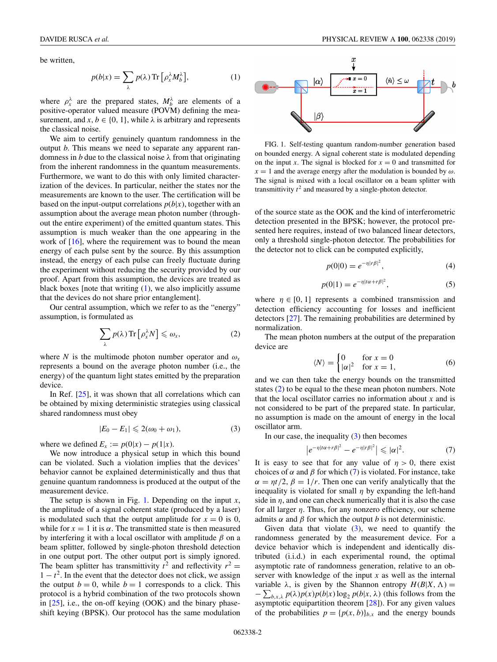<span id="page-1-0"></span>be written,

$$
p(b|x) = \sum_{\lambda} p(\lambda) \operatorname{Tr} \left[ \rho_x^{\lambda} M_b^{\lambda} \right], \tag{1}
$$

where  $\rho_x^{\lambda}$  are the prepared states,  $M_b^{\lambda}$  are elements of a positive-operator valued measure (POVM) defining the measurement, and  $x, b \in \{0, 1\}$ , while  $\lambda$  is arbitrary and represents the classical noise.

We aim to certify genuinely quantum randomness in the output *b*. This means we need to separate any apparent randomness in *b* due to the classical noise  $\lambda$  from that originating from the inherent randomness in the quantum measurements. Furthermore, we want to do this with only limited characterization of the devices. In particular, neither the states nor the measurements are known to the user. The certification will be based on the input-output correlations  $p(b|x)$ , together with an assumption about the average mean photon number (throughout the entire experiment) of the emitted quantum states. This assumption is much weaker than the one appearing in the work of [\[16\]](#page-4-0), where the requirement was to bound the mean energy of each pulse sent by the source. By this assumption instead, the energy of each pulse can freely fluctuate during the experiment without reducing the security provided by our proof. Apart from this assumption, the devices are treated as black boxes [note that writing (1), we also implicitly assume that the devices do not share prior entanglement].

Our central assumption, which we refer to as the "energy" assumption, is formulated as

$$
\sum_{\lambda} p(\lambda) \operatorname{Tr} \left[ \rho_{x}^{\lambda} N \right] \leqslant \omega_{x},\tag{2}
$$

where *N* is the multimode photon number operator and  $\omega_x$ represents a bound on the average photon number (i.e., the energy) of the quantum light states emitted by the preparation device.

In Ref. [\[25\]](#page-4-0), it was shown that all correlations which can be obtained by mixing deterministic strategies using classical shared randomness must obey

$$
|E_0 - E_1| \leqslant 2(\omega_0 + \omega_1),\tag{3}
$$

where we defined  $E_x := p(0|x) - p(1|x)$ .

We now introduce a physical setup in which this bound can be violated. Such a violation implies that the devices' behavior cannot be explained deterministically and thus that genuine quantum randomness is produced at the output of the measurement device.

The setup is shown in Fig. 1. Depending on the input *x*, the amplitude of a signal coherent state (produced by a laser) is modulated such that the output amplitude for  $x = 0$  is 0, while for  $x = 1$  it is  $\alpha$ . The transmitted state is then measured by interfering it with a local oscillator with amplitude  $\beta$  on a beam splitter, followed by single-photon threshold detection in one output port. The other output port is simply ignored. The beam splitter has transmittivity  $t^2$  and reflectivity  $r^2 =$  $1 - t<sup>2</sup>$ . In the event that the detector does not click, we assign the output  $b = 0$ , while  $b = 1$  corresponds to a click. This protocol is a hybrid combination of the two protocols shown in  $[25]$ , i.e., the on-off keying  $(OOK)$  and the binary phaseshift keying (BPSK). Our protocol has the same modulation



FIG. 1. Self-testing quantum random-number generation based on bounded energy. A signal coherent state is modulated depending on the input *x*. The signal is blocked for  $x = 0$  and transmitted for  $x = 1$  and the average energy after the modulation is bounded by  $\omega$ . The signal is mixed with a local oscillator on a beam splitter with transmittivity  $t^2$  and measured by a single-photon detector.

of the source state as the OOK and the kind of interferometric detection presented in the BPSK; however, the protocol presented here requires, instead of two balanced linear detectors, only a threshold single-photon detector. The probabilities for the detector not to click can be computed explicitly,

$$
p(0|0) = e^{-\eta |r\beta|^2},
$$
\n(4)

$$
p(0|1) = e^{-\eta |t\alpha + r\beta|^2},\tag{5}
$$

where  $\eta \in [0, 1]$  represents a combined transmission and detection efficiency accounting for losses and inefficient detectors [\[27\]](#page-4-0). The remaining probabilities are determined by normalization.

The mean photon numbers at the output of the preparation device are

$$
\langle N \rangle = \begin{cases} 0 & \text{for } x = 0 \\ |\alpha|^2 & \text{for } x = 1, \end{cases} \tag{6}
$$

and we can then take the energy bounds on the transmitted states (2) to be equal to the these mean photon numbers. Note that the local oscillator carries no information about *x* and is not considered to be part of the prepared state. In particular, no assumption is made on the amount of energy in the local oscillator arm.

In our case, the inequality  $(3)$  then becomes

$$
\left|e^{-\eta\left|t\alpha+r\beta\right|^2}-e^{-\eta\left|r\beta\right|^2}\right|\leqslant|\alpha|^2.\tag{7}
$$

It is easy to see that for any value of  $\eta > 0$ , there exist choices of  $\alpha$  and  $\beta$  for which (7) is violated. For instance, take  $\alpha = \eta t/2$ ,  $\beta = 1/r$ . Then one can verify analytically that the inequality is violated for small  $\eta$  by expanding the left-hand side in  $\eta$ , and one can check numerically that it is also the case for all larger  $\eta$ . Thus, for any nonzero efficiency, our scheme admits  $\alpha$  and  $\beta$  for which the output *b* is not deterministic.

Given data that violate  $(3)$ , we need to quantify the randomness generated by the measurement device. For a device behavior which is independent and identically distributed (i.i.d.) in each experimental round, the optimal asymptotic rate of randomness generation, relative to an observer with knowledge of the input *x* as well as the internal variable  $\lambda$ , is given by the Shannon entropy  $H(B|X, \Lambda) =$  $-\sum_{b,x,\lambda} p(\lambda)p(x)p(b|x)\log_2 p(b|x,\lambda)$  (this follows from the asymptotic equipartition theorem [\[28\]](#page-4-0)). For any given values of the probabilities  $p = {p(x, b)}_{b,x}$  and the energy bounds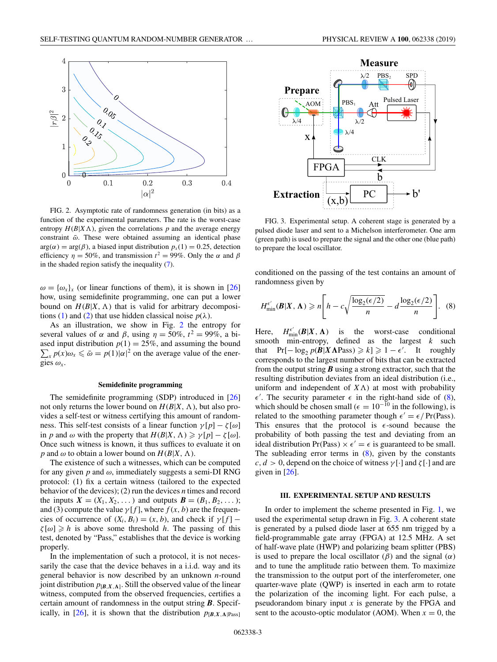<span id="page-2-0"></span>

FIG. 2. Asymptotic rate of randomness generation (in bits) as a function of the experimental parameters. The rate is the worst-case entropy  $H(B|X\Lambda)$ , given the correlations p and the average energy constraint  $\bar{\omega}$ . These were obtained assuming an identical phase  $arg(\alpha) = arg(\beta)$ , a biased input distribution  $p_x(1) = 0.25$ , detection efficiency  $\eta = 50\%$ , and transmission  $t^2 = 99\%$ . Only the  $\alpha$  and  $\beta$ in the shaded region satisfy the inequality [\(7\)](#page-1-0).

 $\omega = {\omega_x}_x$  (or linear functions of them), it is shown in [\[26\]](#page-4-0) how, using semidefinite programming, one can put a lower bound on  $H(B|X, \Lambda)$  that is valid for arbitrary decomposi-tions [\(1\)](#page-1-0) and [\(2\)](#page-1-0) that use hidden classical noise  $p(\lambda)$ .

As an illustration, we show in Fig. 2 the entropy for several values of  $\alpha$  and  $\beta$ , using  $\eta = 50\%$ ,  $t^2 = 99\%$ , a biased input distribution  $p(1) = 25\%$ , and assuming the bound  $\sum_{x} p(x) \omega_x \leq \bar{\omega} = p(1)|\alpha|^2$  on the average value of the energies  $\omega_x$ .

#### **Semidefinite programming**

The semidefinite programming (SDP) introduced in [\[26\]](#page-4-0) not only returns the lower bound on  $H(B|X, \Lambda)$ , but also provides a self-test or witness certifying this amount of randomness. This self-test consists of a linear function  $\gamma[p] - \zeta[\omega]$ in *p* and  $\omega$  with the property that  $H(B|X, \Lambda) \ge \gamma[p] - \zeta[\omega]$ . Once such witness is known, it thus suffices to evaluate it on *p* and  $\omega$  to obtain a lower bound on  $H(B|X, \Lambda)$ .

The existence of such a witnesses, which can be computed for any given  $p$  and  $\omega$ , immediately suggests a semi-DI RNG protocol: (1) fix a certain witness (tailored to the expected behavior of the devices); (2) run the devices *n* times and record the inputs  $X = (X_1, X_2, ...)$  and outputs  $B = (B_1, B_2, ...)$ ; and (3) compute the value  $\gamma[f]$ , where  $f(x, b)$  are the frequencies of occurrence of  $(X_i, B_i) = (x, b)$ , and check if  $\gamma[f]$  –  $\zeta[\omega] \geq h$  is above some threshold *h*. The passing of this test, denoted by "Pass," establishes that the device is working properly.

In the implementation of such a protocol, it is not necessarily the case that the device behaves in a i.i.d. way and its general behavior is now described by an unknown *n*-round joint distribution  $p_{[B,X,A]}$ . Still the observed value of the linear witness, computed from the observed frequencies, certifies a certain amount of randomness in the output string *B*. Specif-ically, in [\[26\]](#page-4-0), it is shown that the distribution  $p_{[B,X,\Lambda]}$ <sub>Pass</sub>]



FIG. 3. Experimental setup. A coherent stage is generated by a pulsed diode laser and sent to a Michelson interferometer. One arm (green path) is used to prepare the signal and the other one (blue path) to prepare the local oscillator.

conditioned on the passing of the test contains an amount of randomness given by

$$
H_{\min}^{\epsilon'}(\mathbf{B}|X,\Lambda) \geqslant n \Bigg[ h - c \sqrt{\frac{\log_2(\epsilon/2)}{n}} - d \frac{\log_2(\epsilon/2)}{n} \Bigg]. \tag{8}
$$

Here, *H*  $\lim_{\min} (B|X, \Lambda)$  is the worst-case conditional smooth min-entropy, defined as the largest *k* such that  $\Pr[-\log_2 p(\mathbf{B} | \mathbf{X} \mathbf{\Lambda} \text{Pass}) \ge k] \ge 1 - \epsilon'$ . It roughly corresponds to the largest number of bits that can be extracted from the output string *B* using a strong extractor, such that the resulting distribution deviates from an ideal distribution (i.e., uniform and independent of  $X \Lambda$ ) at most with probability  $\epsilon'$ . The security parameter  $\epsilon$  in the right-hand side of (8), which should be chosen small ( $\epsilon = 10^{-10}$  in the following), is related to the smoothing parameter though  $\epsilon' = \epsilon / Pr(Pass)$ . This ensures that the protocol is  $\epsilon$ -sound because the probability of both passing the test and deviating from an ideal distribution Pr(Pass)  $\times \epsilon' = \epsilon$  is guaranteed to be small. The subleading error terms in  $(8)$ , given by the constants  $c, d > 0$ , depend on the choice of witness  $\gamma[\cdot]$  and  $\zeta[\cdot]$  and are given in  $[26]$ .

#### **III. EXPERIMENTAL SETUP AND RESULTS**

In order to implement the scheme presented in Fig. [1,](#page-1-0) we used the experimental setup drawn in Fig. 3. A coherent state is generated by a pulsed diode laser at 655 nm trigged by a field-programmable gate array (FPGA) at 12.5 MHz. A set of half-wave plate (HWP) and polarizing beam splitter (PBS) is used to prepare the local oscillator  $(\beta)$  and the signal  $(\alpha)$ and to tune the amplitude ratio between them. To maximize the transmission to the output port of the interferometer, one quarter-wave plate (QWP) is inserted in each arm to rotate the polarization of the incoming light. For each pulse, a pseudorandom binary input *x* is generate by the FPGA and sent to the acousto-optic modulator (AOM). When  $x = 0$ , the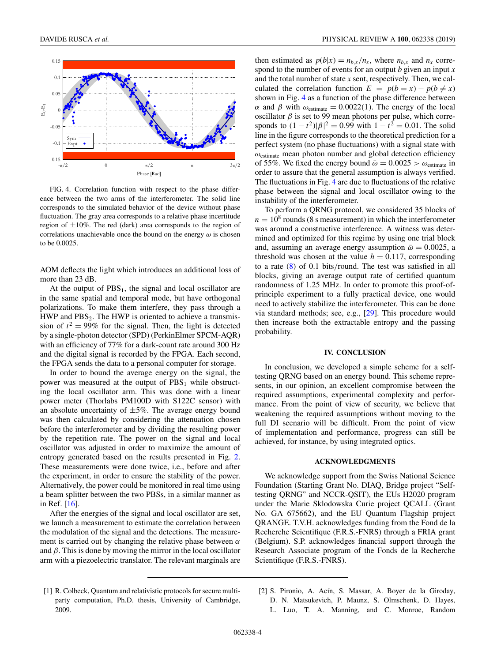<span id="page-3-0"></span>

FIG. 4. Correlation function with respect to the phase difference between the two arms of the interferometer. The solid line corresponds to the simulated behavior of the device without phase fluctuation. The gray area corresponds to a relative phase incertitude region of  $\pm 10\%$ . The red (dark) area corresponds to the region of correlations unachievable once the bound on the energy  $\omega$  is chosen to be 0.0025.

AOM deflects the light which introduces an additional loss of more than 23 dB.

At the output of  $PBS<sub>1</sub>$ , the signal and local oscillator are in the same spatial and temporal mode, but have orthogonal polarizations. To make them interfere, they pass through a HWP and  $PBS<sub>2</sub>$ . The HWP is oriented to achieve a transmission of  $t^2 = 99\%$  for the signal. Then, the light is detected by a single-photon detector (SPD) (PerkinElmer SPCM-AQR) with an efficiency of 77% for a dark-count rate around 300 Hz and the digital signal is recorded by the FPGA. Each second, the FPGA sends the data to a personal computer for storage.

In order to bound the average energy on the signal, the power was measured at the output of  $PBS<sub>1</sub>$  while obstructing the local oscillator arm. This was done with a linear power meter (Thorlabs PM100D with S122C sensor) with an absolute uncertainty of  $\pm 5\%$ . The average energy bound was then calculated by considering the attenuation chosen before the interferometer and by dividing the resulting power by the repetition rate. The power on the signal and local oscillator was adjusted in order to maximize the amount of entropy generated based on the results presented in Fig. [2.](#page-2-0) These measurements were done twice, i.e., before and after the experiment, in order to ensure the stability of the power. Alternatively, the power could be monitored in real time using a beam splitter between the two PBSs, in a similar manner as in Ref. [\[16\]](#page-4-0).

After the energies of the signal and local oscillator are set, we launch a measurement to estimate the correlation between the modulation of the signal and the detections. The measurement is carried out by changing the relative phase between  $\alpha$ and  $\beta$ . This is done by moving the mirror in the local oscillator arm with a piezoelectric translator. The relevant marginals are

then estimated as  $\overline{p}(b|x) = n_{b,x}/n_x$ , where  $n_{b,x}$  and  $n_x$  correspond to the number of events for an output *b* given an input *x* and the total number of state *x* sent, respectively. Then, we calculated the correlation function  $E = p(b = x) - p(b \neq x)$ shown in Fig. 4 as a function of the phase difference between α and β with  $ω_{\text{estimate}} = 0.0022(1)$ . The energy of the local oscillator  $\beta$  is set to 99 mean photons per pulse, which corresponds to  $(1 - t^2)|\beta|^2 = 0.99$  with  $1 - t^2 = 0.01$ . The solid line in the figure corresponds to the theoretical prediction for a perfect system (no phase fluctuations) with a signal state with  $\omega_{\text{estimate}}$  mean photon number and global detection efficiency of 55%. We fixed the energy bound  $\bar{\omega} = 0.0025 > \omega_{\text{estimate}}$  in order to assure that the general assumption is always verified. The fluctuations in Fig. 4 are due to fluctuations of the relative phase between the signal and local oscillator owing to the instability of the interferometer.

To perform a QRNG protocol, we considered 35 blocks of  $n = 10<sup>8</sup>$  rounds (8 s measurement) in which the interferometer was around a constructive interference. A witness was determined and optimized for this regime by using one trial block and, assuming an average energy assumption  $\bar{\omega} = 0.0025$ , a threshold was chosen at the value  $h = 0.117$ , corresponding to a rate [\(8\)](#page-2-0) of 0.1 bits/round. The test was satisfied in all blocks, giving an average output rate of certified quantum randomness of 1.25 MHz. In order to promote this proof-ofprinciple experiment to a fully practical device, one would need to actively stabilize the interferometer. This can be done via standard methods; see, e.g., [\[29\]](#page-4-0). This procedure would then increase both the extractable entropy and the passing probability.

## **IV. CONCLUSION**

In conclusion, we developed a simple scheme for a selftesting QRNG based on an energy bound. This scheme represents, in our opinion, an excellent compromise between the required assumptions, experimental complexity and performance. From the point of view of security, we believe that weakening the required assumptions without moving to the full DI scenario will be difficult. From the point of view of implementation and performance, progress can still be achieved, for instance, by using integrated optics.

### **ACKNOWLEDGMENTS**

We acknowledge support from the Swiss National Science Foundation (Starting Grant No. DIAQ, Bridge project "Selftesting QRNG" and NCCR-QSIT), the EUs H2020 program under the Marie Sklodowska Curie project QCALL (Grant No. GA 675662), and the EU Quantum Flagship project QRANGE. T.V.H. acknowledges funding from the Fond de la Recherche Scientifique (F.R.S.-FNRS) through a FRIA grant (Belgium). S.P. acknowledges financial support through the Research Associate program of the Fonds de la Recherche Scientifique (F.R.S.-FNRS).

- [1] R. Colbeck, Quantum and relativistic protocols for secure multiparty computation, Ph.D. thesis, University of Cambridge, 2009.
- [2] S. Pironio, A. Acín, S. Massar, A. Boyer de la Giroday, D. N. Matsukevich, P. Maunz, S. Olmschenk, D. Hayes,
	- L. Luo, T. A. Manning, and C. Monroe, Random